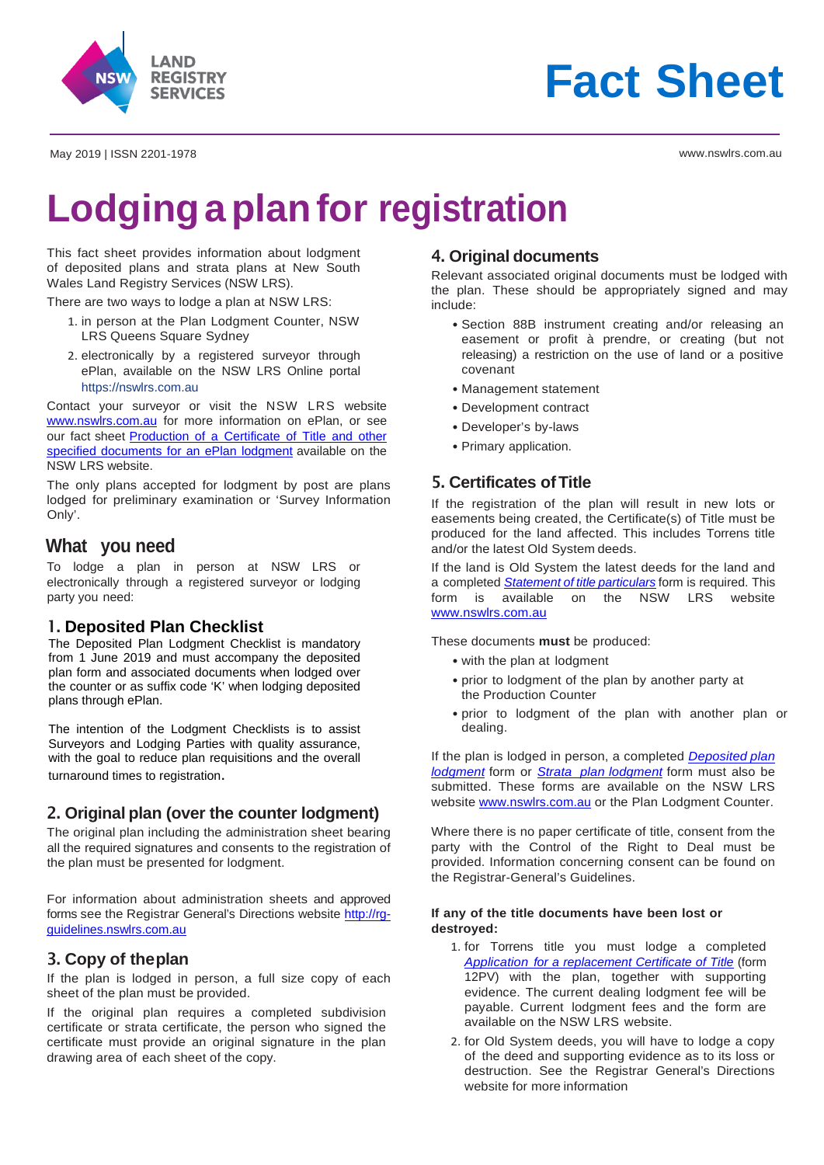

# **Fact Sheet**

May 2019 | ISSN 2201-1978

[www.nswlrs.com.au](http://www.lpi.nsw.gov.au/)

## **Lodgingaplanfor registration**

This fact sheet provides information about lodgment of deposited plans and strata plans at New South Wales Land Registry Services (NSW LRS).

There are two ways to lodge a plan at NSW LRS:

- 1. in person at the Plan Lodgment Counter, NSW LRS Queens Square Sydney
- 2. electronically by a registered surveyor through ePlan, available on the NSW LRS Online portal https://nswlrs.com.au

Contact your surveyor or visit the NSW LRS website [www.nswlrs.com.au](http://www.nswlrs.com.au/) for more information on ePlan, or see our fact sheet Production of a Certificate of Title and other [specified documents for an ePlan lodgment](http://www.nswlrs.com.au/__data/assets/pdf_file/0007/216961/Info_Sheet_-_Specified_Documents_required_for_ePlan_lodgment_clean_version.pdf) available on the NSW LRS website.

The only plans accepted for lodgment by post are plans lodged for preliminary examination or 'Survey Information Only'.

#### **What you need**

To lodge a plan in person at NSW LRS or electronically through a registered surveyor or lodging party you need:

#### 1. **Deposited Plan Checklist**

The Deposited Plan Lodgment Checklist is mandatory from 1 June 2019 and must accompany the deposited plan form and associated documents when lodged over the counter or as suffix code 'K' when lodging deposited plans through ePlan.

The intention of the Lodgment Checklists is to assist Surveyors and Lodging Parties with quality assurance, with the goal to reduce plan requisitions and the overall turnaround times to registration.

#### 2. **Original plan (over the counter lodgment)**

The original plan including the administration sheet bearing all the required signatures and consents to the registration of the plan must be presented for lodgment.

For information about administration sheets and approved forms see the Registrar General's Directions website [http://rg](http://rg-guidelines.nswlrs.com.au/)[guidelines.nswlrs.com.au](http://rg-guidelines.nswlrs.com.au/)

#### 3. **Copy of theplan**

If the plan is lodged in person, a full size copy of each sheet of the plan must be provided.

If the original plan requires a completed subdivision certificate or strata certificate, the person who signed the certificate must provide an original signature in the plan drawing area of each sheet of the copy.

#### 4. **Original documents**

Relevant associated original documents must be lodged with the plan. These should be appropriately signed and may include:

- Section 88B instrument creating and/or releasing an easement or profit à prendre, or creating (but not releasing) a restriction on the use of land or a positive covenant
- Management statement
- Development contract
- Developer's by-laws
- Primary application.

#### 5. **Certificates ofTitle**

If the registration of the plan will result in new lots or easements being created, the Certificate(s) of Title must be produced for the land affected. This includes Torrens title and/or the latest Old System deeds.

If the land is Old System the latest deeds for the land and a completed *Statement of title [particulars](http://www.nswlrs.com.au/__data/assets/pdf_file/0003/25374/STP200310.pdf)* form is required. This on the NSW LRS website [www.nswlrs.com.au](http://www.nswlrs.com.au/)

These documents **must** be produced:

- with the plan at lodgment
- prior to lodgment of the plan by another party at the Production Counter
- prior to lodgment of the plan with another plan or dealing.

If the plan is lodged in person, a completed *[Deposited](http://www.nswlrs.com.au/__data/assets/pdf_file/0004/77584/Plan_Lodgment_DP_July_2018.pdf) plan [lodgment](http://www.nswlrs.com.au/__data/assets/pdf_file/0004/77584/Plan_Lodgment_DP_July_2018.pdf)* form or *Strata plan [lodgment](http://www.nswlrs.com.au/__data/assets/pdf_file/0008/77588/Plan_Lodgment_SP_July_2018.pdf)* form must also be submitted. These forms are available on the NSW LRS website [www.nswlrs.com.au](http://www.nswlrs.com.au/) or the Plan Lodgment Counter.

Where there is no paper certificate of title, consent from the party with the Control of the Right to Deal must be provided. Information concerning consent can be found on the Registrar-General's Guidelines.

#### **If any of the title documents have been lost or destroyed:**

- 1. for Torrens title you must lodge a completed *Application for a [replacement](http://rg-guidelines.nswlrs.com.au/__data/assets/pdf_file/0020/25535/12PV.pdf) Certificate of Title* (form 12PV) with the plan, together with supporting evidence. The current dealing lodgment fee will be payable. Current lodgment fees and the form are available on the NSW LRS website.
- 2. for Old System deeds, you will have to lodge a copy of the deed and supporting evidence as to its loss or destruction. See the Registrar General's Directions website for more information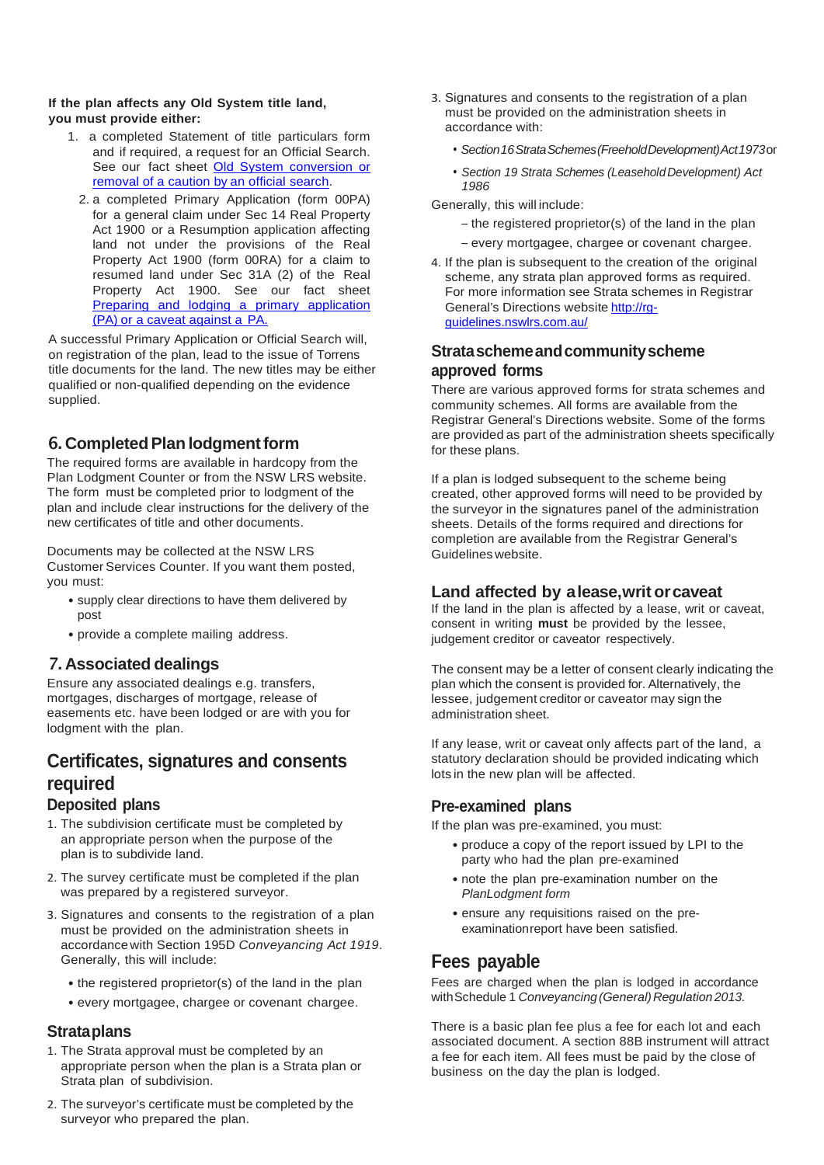#### **If the plan affects any Old System title land, you must provide either:**

- 1. a completed Statement of title particulars form and if required, a request for an Official Search. See our fact sheet [Old System conversion or](http://www.nswlrs.com.au/__data/assets/pdf_file/0010/25948/Info_Sheet_-_Old_System_conversion_or_removal_of_a_caution_by_an_official_search.pdf)  [removal of a caution by](http://www.nswlrs.com.au/__data/assets/pdf_file/0010/25948/Info_Sheet_-_Old_System_conversion_or_removal_of_a_caution_by_an_official_search.pdf) an official search.
- 2. a completed Primary Application (form 00PA) for a general claim under Sec 14 Real Property Act 1900 or a Resumption application affecting land not under the provisions of the Real Property Act 1900 (form 00RA) for a claim to resumed land under Sec 31A (2) of the Real Property Act 1900. See our fact sheet Preparing and lodging a primary application [\(PA\) or a caveat against a](http://www.nswlrs.com.au/__data/assets/pdf_file/0006/216960/Preparing_and_lodging_a_Primary_Application.pdf) PA.

A successful Primary Application or Official Search will, on registration of the plan, lead to the issue of Torrens title documents for the land. The new titles may be either qualified or non-qualified depending on the evidence supplied.

#### 6. **CompletedPlan lodgmentform**

The required forms are available in hardcopy from the Plan Lodgment Counter or from the NSW LRS website. The form must be completed prior to lodgment of the plan and include clear instructions for the delivery of the new certificates of title and other documents.

Documents may be collected at the NSW LRS Customer Services Counter. If you want them posted, you must:

- supply clear directions to have them delivered by post
- provide a complete mailing address.

#### 7. **Associated dealings**

Ensure any associated dealings e.g. transfers, mortgages, discharges of mortgage, release of easements etc. have been lodged or are with you for lodgment with the plan.

## **Certificates, signatures and consents required**

#### **Deposited plans**

- 1. The subdivision certificate must be completed by an appropriate person when the purpose of the plan is to subdivide land.
- 2. The survey certificate must be completed if the plan was prepared by a registered surveyor.
- 3. Signatures and consents to the registration of a plan must be provided on the administration sheets in accordancewith Section 195D *Conveyancing Act 1919*. Generally, this will include:
	- the registered proprietor(s) of the land in the plan
	- every mortgagee, chargee or covenant chargee.

#### **Strataplans**

- 1. The Strata approval must be completed by an appropriate person when the plan is a Strata plan or Strata plan of subdivision.
- 2. The surveyor's certificate must be completed by the surveyor who prepared the plan.
- 3. Signatures and consents to the registration of a plan must be provided on the administration sheets in accordance with:
	- *• Section16StrataSchemes(FreeholdDevelopment)Act1973*or
	- *• Section 19 Strata Schemes (LeaseholdDevelopment) Act 1986*

#### Generally, this will include:

- the registered proprietor(s) of the land in the plan – every mortgagee, chargee or covenant chargee.
- 4. If the plan is subsequent to the creation of the original scheme, any strata plan approved forms as required. For more information see Strata schemes in Registrar General's Directions website [http://rg](http://rg-guidelines.nswlrs.com.au/)[guidelines.nswlrs.com.au/](http://rg-guidelines.nswlrs.com.au/)

#### **Strataschemeandcommunityscheme approved forms**

There are various approved forms for strata schemes and community schemes. All forms are available from the Registrar General's Directions website. Some of the forms are provided as part of the administration sheets specifically for these plans.

If a plan is lodged subsequent to the scheme being created, other approved forms will need to be provided by the surveyor in the signatures panel of the administration sheets. Details of the forms required and directions for completion are available from the Registrar General's Guidelines website.

#### **Land affected by alease,writ orcaveat**

If the land in the plan is affected by a lease, writ or caveat, consent in writing **must** be provided by the lessee, judgement creditor or caveator respectively.

The consent may be a letter of consent clearly indicating the plan which the consent is provided for. Alternatively, the lessee, judgement creditor or caveator may sign the administration sheet.

If any lease, writ or caveat only affects part of the land, a statutory declaration should be provided indicating which lots in the new plan will be affected.

#### **Pre-examined plans**

If the plan was pre-examined, you must:

- produce a copy of the report issued by LPI to the party who had the plan pre-examined
- note the plan pre-examination number on the *PlanLodgment form*
- ensure any requisitions raised on the preexaminationreport have been satisfied.

## **Fees payable**

Fees are charged when the plan is lodged in accordance withSchedule 1 *Conveyancing(General)Regulation2013.*

There is a basic plan fee plus a fee for each lot and each associated document. A section 88B instrument will attract a fee for each item. All fees must be paid by the close of business on the day the plan is lodged.